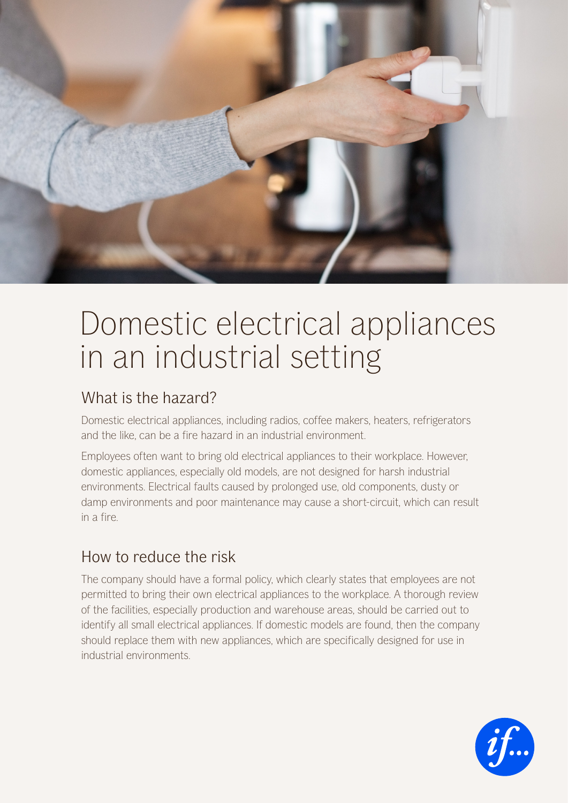

## Domestic electrical appliances in an industrial setting

## What is the hazard?

Domestic electrical appliances, including radios, coffee makers, heaters, refrigerators and the like, can be a fire hazard in an industrial environment.

Employees often want to bring old electrical appliances to their workplace. However, domestic appliances, especially old models, are not designed for harsh industrial environments. Electrical faults caused by prolonged use, old components, dusty or damp environments and poor maintenance may cause a short-circuit, which can result in a fire.

## How to reduce the risk

The company should have a formal policy, which clearly states that employees are not permitted to bring their own electrical appliances to the workplace. A thorough review of the facilities, especially production and warehouse areas, should be carried out to identify all small electrical appliances. If domestic models are found, then the company should replace them with new appliances, which are specifically designed for use in industrial environments.